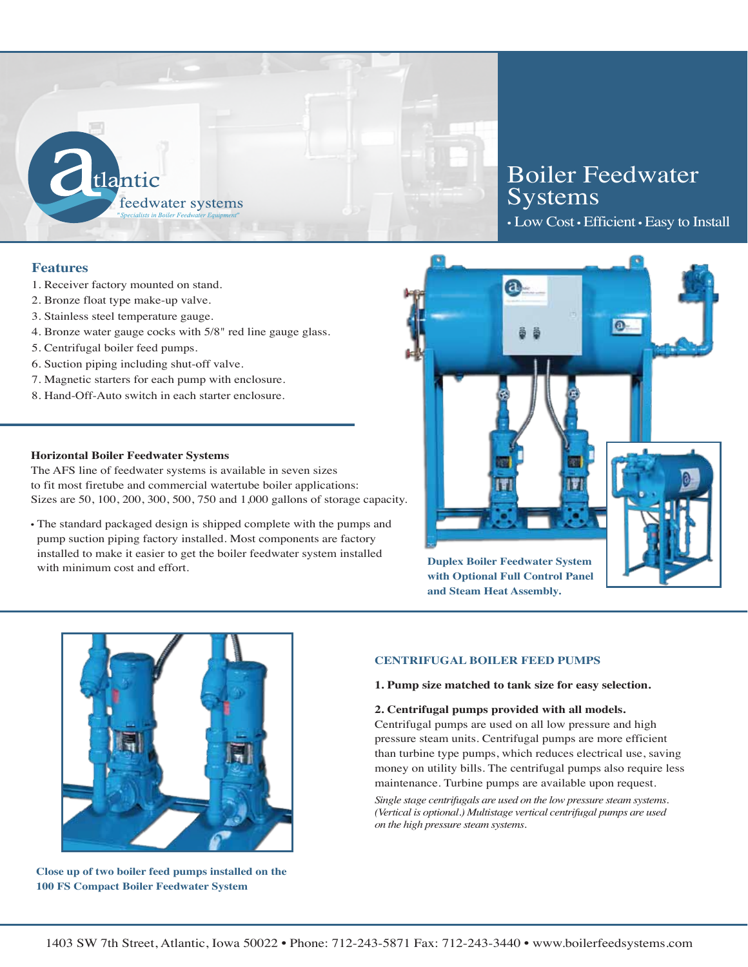

# **Features**

- 1. Receiver factory mounted on stand.
- 2. Bronze float type make-up valve.
- 3. Stainless steel temperature gauge.
- 4. Bronze water gauge cocks with 5/8" red line gauge glass.
- 5. Centrifugal boiler feed pumps.
- 6. Suction piping including shut-off valve.
- 7. Magnetic starters for each pump with enclosure.
- 8. Hand-Off-Auto switch in each starter enclosure.

### **Horizontal Boiler Feedwater Systems**

The AFS line of feedwater systems is available in seven sizes to fit most firetube and commercial watertube boiler applications: Sizes are 50, 100, 200, 300, 500, 750 and 1,000 gallons of storage capacity.

• The standard packaged design is shipped complete with the pumps and pump suction piping factory installed. Most components are factory installed to make it easier to get the boiler feedwater system installed with minimum cost and effort.

# Boiler Feedwater Systems

• Low Cost •Efficient •Easy to Install



**with Optional Full Control Panel and Steam Heat Assembly.**



**Close up of two boiler feed pumps installed on the 100 FS Compact Boiler Feedwater System**

### **CENTRIFUGAL BOILER FEED PUMPS**

**1. Pump size matched to tank size for easy selection.**

### **2. Centrifugal pumps provided with all models.**

Centrifugal pumps are used on all low pressure and high pressure steam units. Centrifugal pumps are more efficient than turbine type pumps, which reduces electrical use, saving money on utility bills. The centrifugal pumps also require less maintenance. Turbine pumps are available upon request.

*Single stage centrifugals are used on the low pressure steam systems. (Vertical is optional.) Multistage vertical centrifugal pumps are used on the high pressure steam systems.*